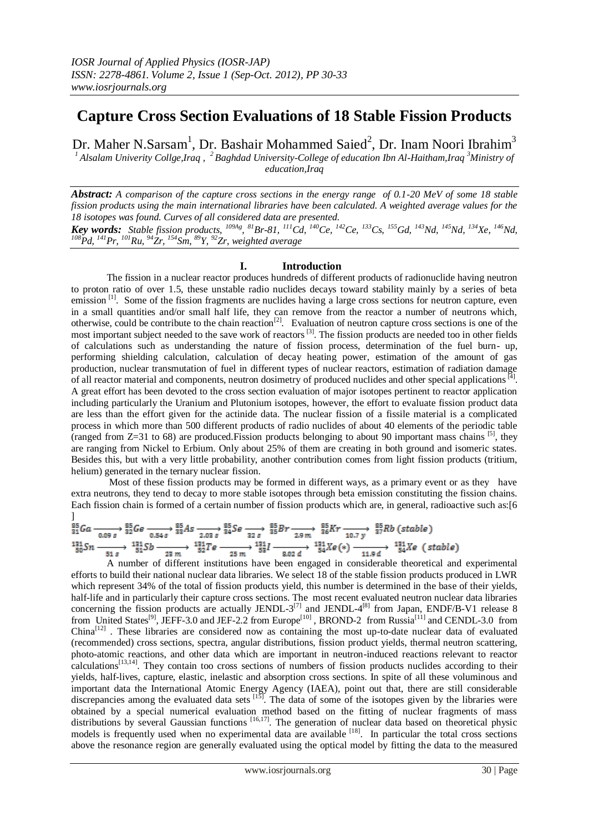# **Capture Cross Section Evaluations of 18 Stable Fission Products**

Dr. Maher N.Sarsam $^{\rm l}$ , Dr. Bashair Mohammed Saied $^{\rm 2}$ , Dr. Inam Noori Ibrahim $^{\rm 3}$ <sup>1</sup> Alsalam Univerity Collge,Iraq , <sup>2</sup> Baghdad University-College of education Ibn Al-Haitham,Iraq <sup>3</sup>Ministry of *education,Iraq*

*Abstract: A comparison of the capture cross sections in the energy range of 0.1-20 MeV of some 18 stable fission products using the main international libraries have been calculated. A weighted average values for the 18 isotopes was found. Curves of all considered data are presented.*

**Key words:** Stable fission products,  $^{109Ag}$ ,  $^{81}Br-81$ ,  $^{111}Cd$ ,  $^{140}Ce$ ,  $^{142}Ce$ ,  $^{133}Cs$ ,  $^{155}Gd$ ,  $^{143}Nd$ ,  $^{145}Nd$ ,  $^{134}Xe$ ,  $^{146}Nd$ , *<sup>108</sup>Pd, <sup>141</sup>Pr, <sup>101</sup>Ru, <sup>94</sup>Zr, <sup>154</sup>Sm, <sup>89</sup>Y, <sup>92</sup>Zr, weighted average*

## **I. Introduction**

The fission in a nuclear reactor produces hundreds of different products of radionuclide having neutron to proton ratio of over 1.5, these unstable radio nuclides decays toward stability mainly by a series of beta emission  $\left[1\right]$ . Some of the fission fragments are nuclides having a large cross sections for neutron capture, even in a small quantities and/or small half life, they can remove from the reactor a number of neutrons which, otherwise, could be contribute to the chain reaction<sup>[2]</sup>. Evaluation of neutron capture cross sections is one of the most important subject needed to the save work of reactors<sup>[3]</sup>. The fission products are needed too in other fields of calculations such as understanding the nature of fission process, determination of the fuel burn- up, performing shielding calculation, calculation of decay heating power, estimation of the amount of gas production, nuclear transmutation of fuel in different types of nuclear reactors, estimation of radiation damage of all reactor material and components, neutron dosimetry of produced nuclides and other special applications <sup>[4]</sup>. A great effort has been devoted to the cross section evaluation of major isotopes pertinent to reactor application including particularly the Uranium and Plutonium isotopes, however, the effort to evaluate fission product data are less than the effort given for the actinide data. The nuclear fission of a fissile material is a complicated process in which more than 500 different products of radio nuclides of about 40 elements of the periodic table (ranged from Z=31 to 68) are produced.Fission products belonging to about 90 important mass chains [5], they are ranging from Nickel to Erbium. Only about 25% of them are creating in both ground and isomeric states. Besides this, but with a very little probability, another contribution comes from light fission products (tritium, helium) generated in the ternary nuclear fission.

Most of these fission products may be formed in different ways, as a primary event or as they have extra neutrons, they tend to decay to more stable isotopes through beta emission constituting the fission chains. Each fission chain is formed of a certain number of fission products which are, in general, radioactive such as:[6 ]

$$
\frac{85}{31}Ga \xrightarrow[0.09 s]{95}_{32}Ge \xrightarrow[0.54 s]{95}_{33}As \xrightarrow[2.03 s]{95}_{34}Se \xrightarrow[32 s]{95}_{32}Se \xrightarrow[32 s]{95}_{35}Br \xrightarrow[2.9 m]{95}_{36}Kr \xrightarrow[10.7 y]{95}_{36}Kh \xrightarrow[10.7 y]{95}_{37}Rb (stable)
$$
  

$$
\xrightarrow[1315]{121}_{50}Sn \xrightarrow[51 s]{121}_{51}Sb \xrightarrow[23 m]{121}_{23 m}I \xrightarrow[52 m]{121}_{52}Te \xrightarrow[25 m]{121}_{25 m}I \xrightarrow[54]{} \xrightarrow[312 s]{121}_{54}Xe (*) \xrightarrow[11.9 d]{121}_{54}Xe (stable)
$$

A number of different institutions have been engaged in considerable theoretical and experimental efforts to build their national nuclear data libraries. We select 18 of the stable fission products produced in LWR which represent 34% of the total of fission products yield, this number is determined in the base of their yields, half-life and in particularly their capture cross sections. The most recent evaluated neutron nuclear data libraries concerning the fission products are actually JENDL-3<sup>[7]</sup> and JENDL-4<sup>[8]</sup> from Japan, ENDF/B-V1 release 8 from United States<sup>[9]</sup>, JEFF-3.0 and JEF-2.2 from Europe<sup>[10]</sup>, BROND-2 from Russia<sup>[11]</sup> and CENDL-3.0 from China<sup>[12]</sup>. These libraries are considered now as containing the most up-to-date nuclear data of evaluated (recommended) cross sections, spectra, angular distributions, fission product yields, thermal neutron scattering, photo-atomic reactions, and other data which are important in neutron-induced reactions relevant to reactor  $\alpha$  calculations<sup>[13,14]</sup>. They contain too cross sections of numbers of fission products nuclides according to their yields, half-lives, capture, elastic, inelastic and absorption cross sections. In spite of all these voluminous and important data the International Atomic Energy Agency (IAEA), point out that, there are still considerable discrepancies among the evaluated data sets  $^{[15]}$ . The data of some of the isotopes given by the libraries were obtained by a special numerical evaluation method based on the fitting of nuclear fragments of mass distributions by several Gaussian functions [16,17]. The generation of nuclear data based on theoretical physic models is frequently used when no experimental data are available <sup>[18]</sup>. In particular the total cross sections above the resonance region are generally evaluated using the optical model by fitting the data to the measured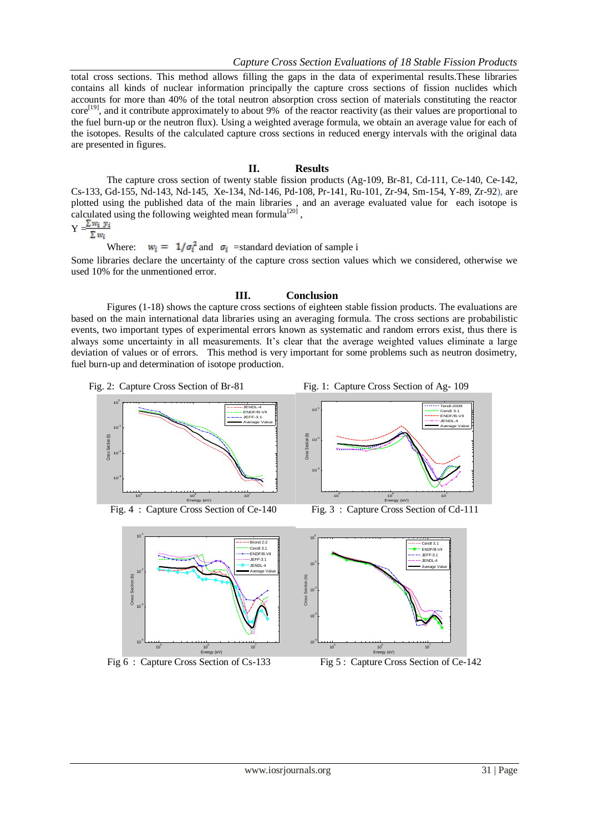total cross sections. This method allows filling the gaps in the data of experimental results.These libraries contains all kinds of nuclear information principally the capture cross sections of fission nuclides which accounts for more than 40% of the total neutron absorption cross section of materials constituting the reactor  $\text{core}^{[19]}$ , and it contribute approximately to about 9% of the reactor reactivity (as their values are proportional to the fuel burn-up or the neutron flux). Using a weighted average formula, we obtain an average value for each of the isotopes. Results of the calculated capture cross sections in reduced energy intervals with the original data are presented in figures.

### **II. Results**

The capture cross section of twenty stable fission products (Ag-109, Br-81, Cd-111, Ce-140, Ce-142, Cs-133, Gd-155, Nd-143, Nd-145, Xe-134, Nd-146, Pd-108, Pr-141, Ru-101, Zr-94, Sm-154, Y-89, Zr-92), are plotted using the published data of the main libraries , and an average evaluated value for each isotope is calculated using the following weighted mean formula<sup>[20]</sup>,

 $Y = \frac{\sum w_i y_i}{\sum w_i y_i}$  $\Sigma w_i$ 

Where:  $w_i = 1/\sigma_i^2$  and  $\sigma_i$  =standard deviation of sample i

Some libraries declare the uncertainty of the capture cross section values which we considered, otherwise we used 10% for the unmentioned error.

### **III. Conclusion**

Figures (1-18) shows the capture cross sections of eighteen stable fission products. The evaluations are based on the main international data libraries using an averaging formula. The cross sections are probabilistic events, two important types of experimental errors known as systematic and random errors exist, thus there is always some uncertainty in all measurements. It's clear that the average weighted values eliminate a large deviation of values or of errors. This method is very important for some problems such as neutron dosimetry, fuel burn-up and determination of isotope production.









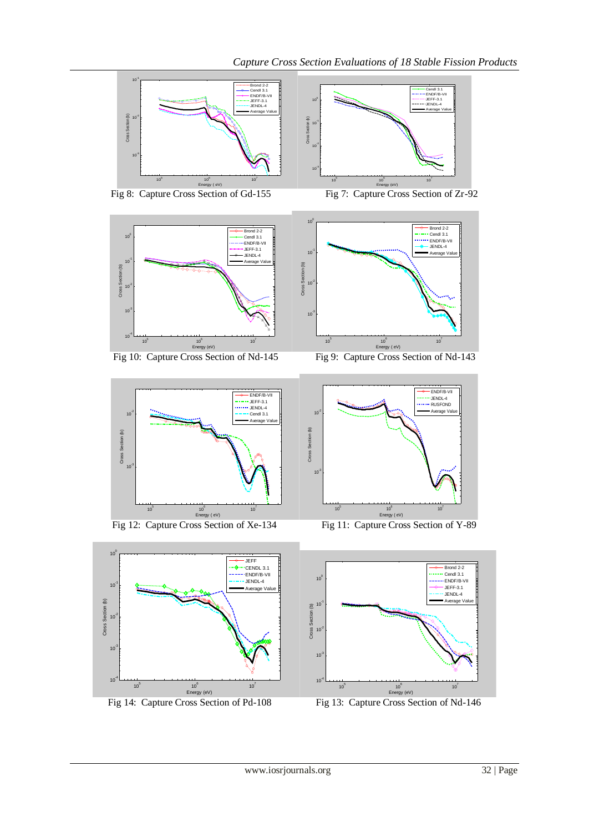

Fig 8: Capture Cross Section of Gd-155 Fig 7: Capture Cross Section of Zr-92







Fig 12: Capture Cross Section of Xe-134 Fig 11: Capture Cross Section of Y-89